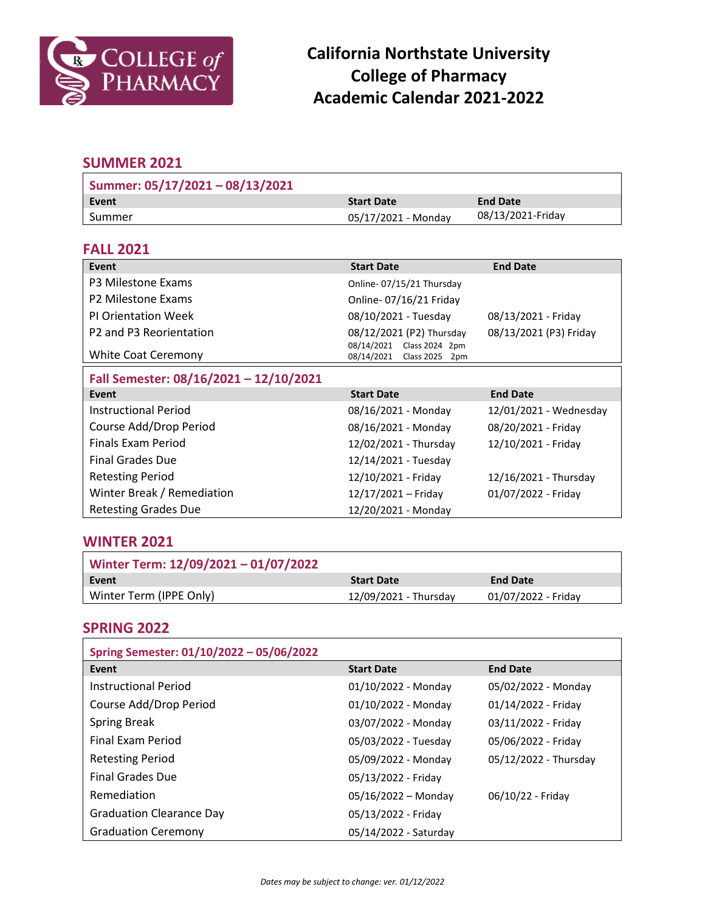

# **California Northstate University College of Pharmacy Academic Calendar 2021-2022**

## **SUMMER 2021**

| Summer: 05/17/2021 - 08/13/2021 |                     |                   |
|---------------------------------|---------------------|-------------------|
| l Event                         | <b>Start Date</b>   | <b>End Date</b>   |
| l Summer                        | 05/17/2021 - Monday | 08/13/2021-Friday |

### **FALL 2021**

| Event                                           | <b>Start Date</b>                                                   | <b>End Date</b>        |
|-------------------------------------------------|---------------------------------------------------------------------|------------------------|
| P3 Milestone Exams                              | Online-07/15/21 Thursday                                            |                        |
| P2 Milestone Exams                              | Online-07/16/21 Friday                                              |                        |
| <b>PI Orientation Week</b>                      | 08/10/2021 - Tuesday                                                | 08/13/2021 - Friday    |
| P <sub>2</sub> and P <sub>3</sub> Reorientation | 08/12/2021 (P2) Thursday                                            | 08/13/2021 (P3) Friday |
| <b>White Coat Ceremony</b>                      | 08/14/2021 Class 2024 2pm<br>08/14/2021<br><b>Class 2025</b><br>2pm |                        |
| Fall Semester: 08/16/2021 - 12/10/2021          |                                                                     |                        |
| Event                                           | <b>Start Date</b>                                                   | <b>End Date</b>        |
|                                                 |                                                                     |                        |
| <b>Instructional Period</b>                     | 08/16/2021 - Monday                                                 | 12/01/2021 - Wednesday |
| Course Add/Drop Period                          | 08/16/2021 - Monday                                                 | 08/20/2021 - Friday    |
| Finals Exam Period                              | 12/02/2021 - Thursday                                               | 12/10/2021 - Friday    |
| Final Grades Due                                | 12/14/2021 - Tuesday                                                |                        |
| <b>Retesting Period</b>                         | 12/10/2021 - Friday                                                 | 12/16/2021 - Thursday  |
| Winter Break / Remediation                      | 12/17/2021 - Friday                                                 | 01/07/2022 - Friday    |

#### **WINTER 2021**

| Winter Term: 12/09/2021 - 01/07/2022 |                       |                     |
|--------------------------------------|-----------------------|---------------------|
| Event                                | <b>Start Date</b>     | <b>End Date</b>     |
| Winter Term (IPPE Only)              | 12/09/2021 - Thursday | 01/07/2022 - Friday |

### **SPRING 2022**

| Spring Semester: 01/10/2022 - 05/06/2022 |                       |                       |
|------------------------------------------|-----------------------|-----------------------|
| Event                                    | <b>Start Date</b>     | <b>End Date</b>       |
| <b>Instructional Period</b>              | 01/10/2022 - Monday   | 05/02/2022 - Monday   |
| Course Add/Drop Period                   | 01/10/2022 - Monday   | 01/14/2022 - Friday   |
| <b>Spring Break</b>                      | 03/07/2022 - Monday   | 03/11/2022 - Friday   |
| <b>Final Exam Period</b>                 | 05/03/2022 - Tuesday  | 05/06/2022 - Friday   |
| <b>Retesting Period</b>                  | 05/09/2022 - Monday   | 05/12/2022 - Thursday |
| <b>Final Grades Due</b>                  | 05/13/2022 - Friday   |                       |
| <b>Remediation</b>                       | $05/16/2022 - Monday$ | 06/10/22 - Friday     |
| <b>Graduation Clearance Day</b>          | 05/13/2022 - Friday   |                       |
| <b>Graduation Ceremony</b>               | 05/14/2022 - Saturday |                       |